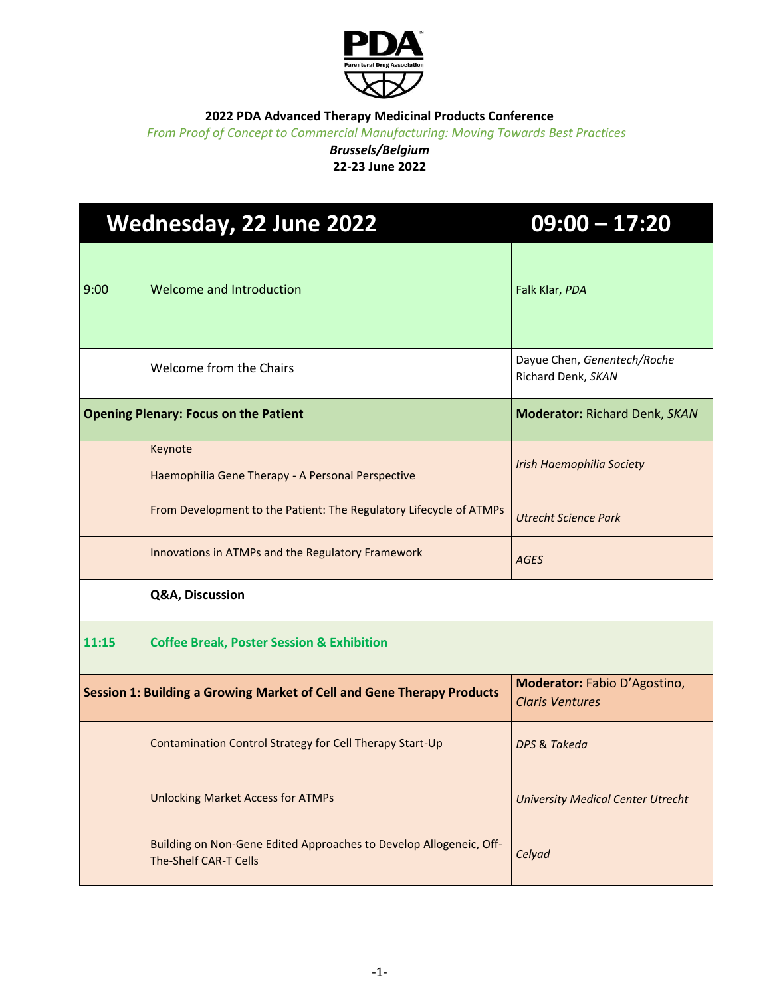

*From Proof of Concept to Commercial Manufacturing: Moving Towards Best Practices*

### *Brussels/Belgium* **22-23 June 2022**

| <b>Wednesday, 22 June 2022</b>                                         |                                                                                             | $09:00 - 17:20$                                        |
|------------------------------------------------------------------------|---------------------------------------------------------------------------------------------|--------------------------------------------------------|
| 9:00                                                                   | Welcome and Introduction                                                                    | Falk Klar, PDA                                         |
|                                                                        | Welcome from the Chairs                                                                     | Dayue Chen, Genentech/Roche<br>Richard Denk, SKAN      |
| <b>Opening Plenary: Focus on the Patient</b>                           |                                                                                             | <b>Moderator: Richard Denk, SKAN</b>                   |
|                                                                        | Keynote<br>Haemophilia Gene Therapy - A Personal Perspective                                | Irish Haemophilia Society                              |
|                                                                        | From Development to the Patient: The Regulatory Lifecycle of ATMPs                          | <b>Utrecht Science Park</b>                            |
|                                                                        | Innovations in ATMPs and the Regulatory Framework                                           | AGES                                                   |
|                                                                        | Q&A, Discussion                                                                             |                                                        |
| 11:15                                                                  | <b>Coffee Break, Poster Session &amp; Exhibition</b>                                        |                                                        |
| Session 1: Building a Growing Market of Cell and Gene Therapy Products |                                                                                             | Moderator: Fabio D'Agostino,<br><b>Claris Ventures</b> |
|                                                                        | Contamination Control Strategy for Cell Therapy Start-Up                                    | DPS & Takeda                                           |
|                                                                        | <b>Unlocking Market Access for ATMPs</b>                                                    | <b>University Medical Center Utrecht</b>               |
|                                                                        | Building on Non-Gene Edited Approaches to Develop Allogeneic, Off-<br>The-Shelf CAR-T Cells | Celyad                                                 |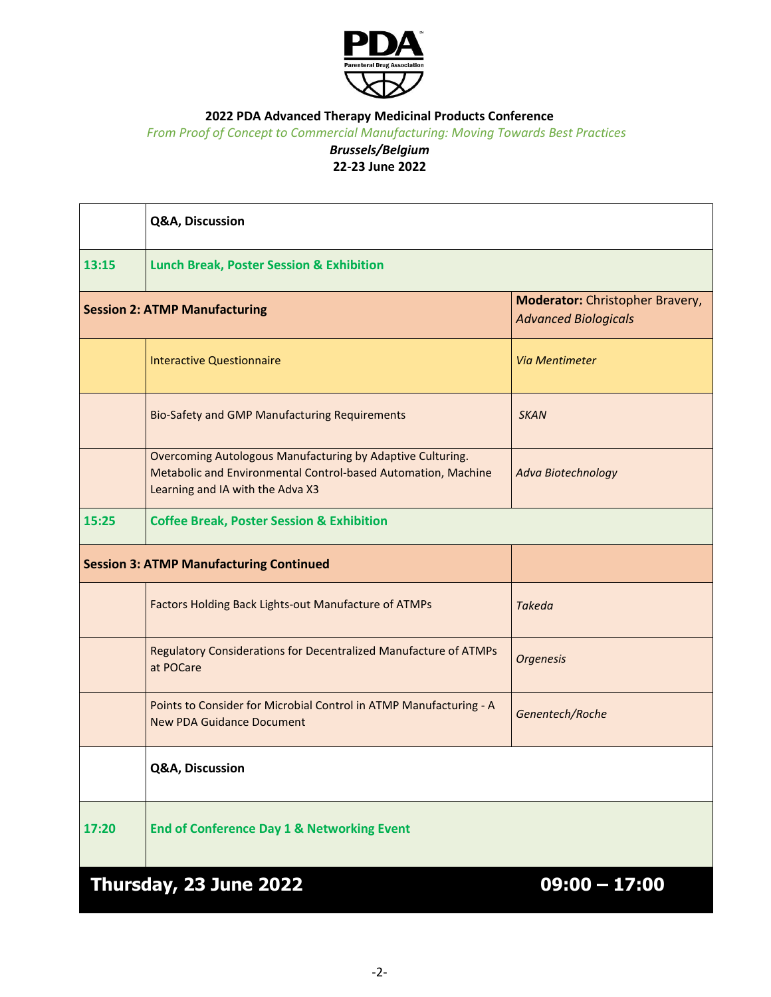

*From Proof of Concept to Commercial Manufacturing: Moving Towards Best Practices*

### *Brussels/Belgium* **22-23 June 2022**

|                                                | Q&A, Discussion                                                                                                                                                 |                                                                       |  |
|------------------------------------------------|-----------------------------------------------------------------------------------------------------------------------------------------------------------------|-----------------------------------------------------------------------|--|
| 13:15                                          | <b>Lunch Break, Poster Session &amp; Exhibition</b>                                                                                                             |                                                                       |  |
| <b>Session 2: ATMP Manufacturing</b>           |                                                                                                                                                                 | <b>Moderator:</b> Christopher Bravery,<br><b>Advanced Biologicals</b> |  |
|                                                | <b>Interactive Questionnaire</b>                                                                                                                                | Via Mentimeter                                                        |  |
|                                                | <b>Bio-Safety and GMP Manufacturing Requirements</b>                                                                                                            | <b>SKAN</b>                                                           |  |
|                                                | Overcoming Autologous Manufacturing by Adaptive Culturing.<br>Metabolic and Environmental Control-based Automation, Machine<br>Learning and IA with the Adva X3 | <b>Adva Biotechnology</b>                                             |  |
| 15:25                                          | <b>Coffee Break, Poster Session &amp; Exhibition</b>                                                                                                            |                                                                       |  |
| <b>Session 3: ATMP Manufacturing Continued</b> |                                                                                                                                                                 |                                                                       |  |
|                                                | Factors Holding Back Lights-out Manufacture of ATMPs                                                                                                            | <b>Takeda</b>                                                         |  |
|                                                | Regulatory Considerations for Decentralized Manufacture of ATMPs<br>at POCare                                                                                   | <b>Orgenesis</b>                                                      |  |
|                                                | Points to Consider for Microbial Control in ATMP Manufacturing - A<br><b>New PDA Guidance Document</b>                                                          | Genentech/Roche                                                       |  |
|                                                | Q&A, Discussion                                                                                                                                                 |                                                                       |  |
| 17:20                                          | <b>End of Conference Day 1 &amp; Networking Event</b>                                                                                                           |                                                                       |  |
|                                                | Thursday, 23 June 2022                                                                                                                                          | $09:00 - 17:00$                                                       |  |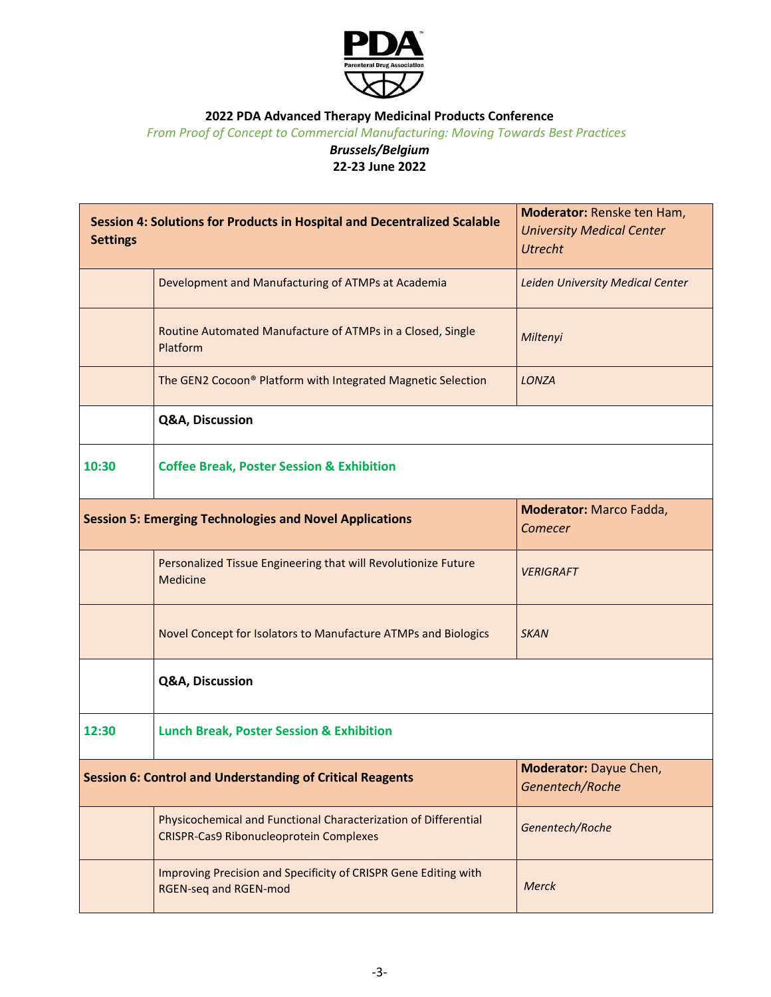

*From Proof of Concept to Commercial Manufacturing: Moving Towards Best Practices*

#### *Brussels/Belgium* **22-23 June 2022**

| Session 4: Solutions for Products in Hospital and Decentralized Scalable<br><b>Settings</b> |                                                                                                                   | Moderator: Renske ten Ham,<br><b>University Medical Center</b><br><b>Utrecht</b> |  |
|---------------------------------------------------------------------------------------------|-------------------------------------------------------------------------------------------------------------------|----------------------------------------------------------------------------------|--|
|                                                                                             | Development and Manufacturing of ATMPs at Academia                                                                | Leiden University Medical Center                                                 |  |
|                                                                                             | Routine Automated Manufacture of ATMPs in a Closed, Single<br>Platform                                            | Miltenyi                                                                         |  |
|                                                                                             | The GEN2 Cocoon® Platform with Integrated Magnetic Selection                                                      | LONZA                                                                            |  |
|                                                                                             | Q&A, Discussion                                                                                                   |                                                                                  |  |
| 10:30                                                                                       | <b>Coffee Break, Poster Session &amp; Exhibition</b>                                                              |                                                                                  |  |
| <b>Session 5: Emerging Technologies and Novel Applications</b>                              |                                                                                                                   | Moderator: Marco Fadda,<br>Comecer                                               |  |
|                                                                                             | Personalized Tissue Engineering that will Revolutionize Future<br>Medicine                                        | <b>VERIGRAFT</b>                                                                 |  |
|                                                                                             | Novel Concept for Isolators to Manufacture ATMPs and Biologics                                                    | <b>SKAN</b>                                                                      |  |
|                                                                                             | Q&A, Discussion                                                                                                   |                                                                                  |  |
| 12:30                                                                                       | <b>Lunch Break, Poster Session &amp; Exhibition</b>                                                               |                                                                                  |  |
| <b>Session 6: Control and Understanding of Critical Reagents</b>                            |                                                                                                                   | Moderator: Dayue Chen,<br>Genentech/Roche                                        |  |
|                                                                                             | Physicochemical and Functional Characterization of Differential<br><b>CRISPR-Cas9 Ribonucleoprotein Complexes</b> | Genentech/Roche                                                                  |  |
|                                                                                             | Improving Precision and Specificity of CRISPR Gene Editing with<br><b>RGEN-seq and RGEN-mod</b>                   | <b>Merck</b>                                                                     |  |